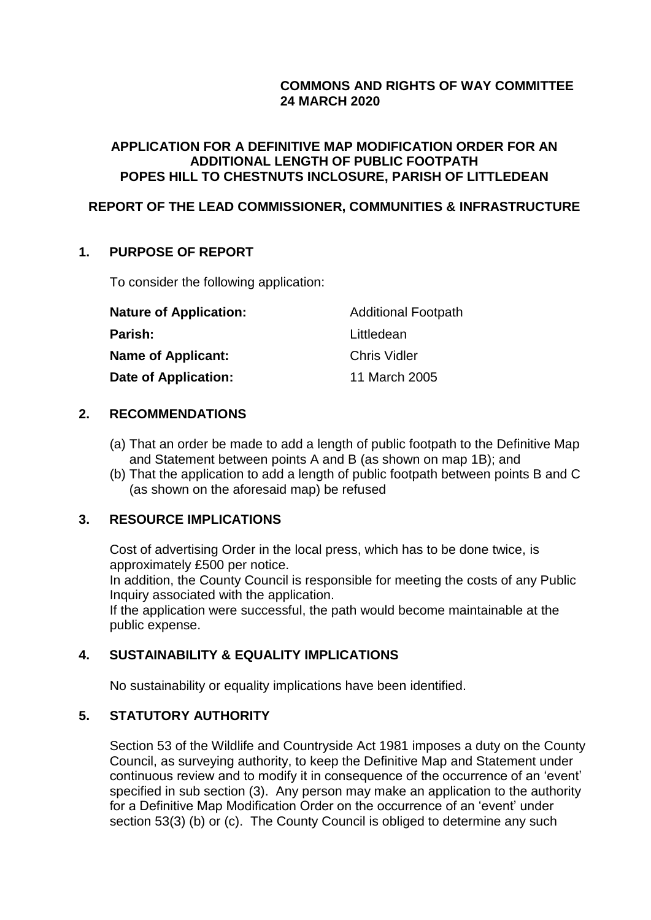# **COMMONS AND RIGHTS OF WAY COMMITTEE 24 MARCH 2020**

## **APPLICATION FOR A DEFINITIVE MAP MODIFICATION ORDER FOR AN ADDITIONAL LENGTH OF PUBLIC FOOTPATH POPES HILL TO CHESTNUTS INCLOSURE, PARISH OF LITTLEDEAN**

# **REPORT OF THE LEAD COMMISSIONER, COMMUNITIES & INFRASTRUCTURE**

## **1. PURPOSE OF REPORT**

To consider the following application:

| <b>Nature of Application:</b> | <b>Additional Footpath</b> |
|-------------------------------|----------------------------|
| Parish:                       | Littledean                 |
| <b>Name of Applicant:</b>     | <b>Chris Vidler</b>        |
| Date of Application:          | 11 March 2005              |

## **2. RECOMMENDATIONS**

- (a) That an order be made to add a length of public footpath to the Definitive Map and Statement between points A and B (as shown on map 1B); and
- (b) That the application to add a length of public footpath between points B and C (as shown on the aforesaid map) be refused

## **3. RESOURCE IMPLICATIONS**

Cost of advertising Order in the local press, which has to be done twice, is approximately £500 per notice. In addition, the County Council is responsible for meeting the costs of any Public Inquiry associated with the application. If the application were successful, the path would become maintainable at the public expense.

## **4. SUSTAINABILITY & EQUALITY IMPLICATIONS**

No sustainability or equality implications have been identified.

## **5. STATUTORY AUTHORITY**

Section 53 of the Wildlife and Countryside Act 1981 imposes a duty on the County Council, as surveying authority, to keep the Definitive Map and Statement under continuous review and to modify it in consequence of the occurrence of an 'event' specified in sub section (3). Any person may make an application to the authority for a Definitive Map Modification Order on the occurrence of an 'event' under section 53(3) (b) or (c). The County Council is obliged to determine any such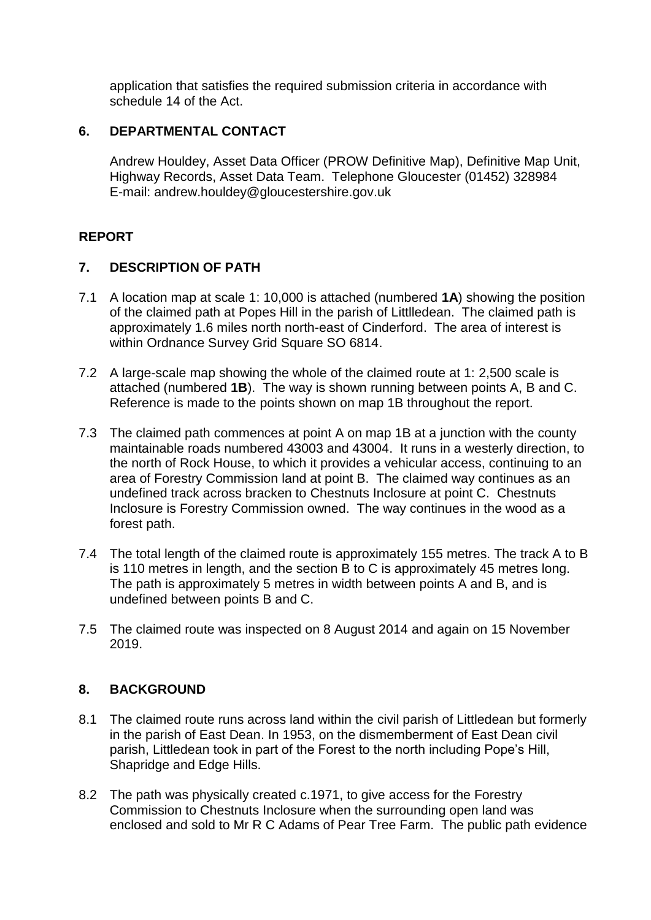application that satisfies the required submission criteria in accordance with schedule 14 of the Act.

# **6. DEPARTMENTAL CONTACT**

Andrew Houldey, Asset Data Officer (PROW Definitive Map), Definitive Map Unit, Highway Records, Asset Data Team. Telephone Gloucester (01452) 328984 E-mail: andrew.houldey@gloucestershire.gov.uk

# **REPORT**

## **7. DESCRIPTION OF PATH**

- 7.1 A location map at scale 1: 10,000 is attached (numbered **1A**) showing the position of the claimed path at Popes Hill in the parish of Littlledean. The claimed path is approximately 1.6 miles north north-east of Cinderford. The area of interest is within Ordnance Survey Grid Square SO 6814.
- 7.2 A large-scale map showing the whole of the claimed route at 1: 2,500 scale is attached (numbered **1B**). The way is shown running between points A, B and C. Reference is made to the points shown on map 1B throughout the report.
- 7.3 The claimed path commences at point A on map 1B at a junction with the county maintainable roads numbered 43003 and 43004. It runs in a westerly direction, to the north of Rock House, to which it provides a vehicular access, continuing to an area of Forestry Commission land at point B. The claimed way continues as an undefined track across bracken to Chestnuts Inclosure at point C. Chestnuts Inclosure is Forestry Commission owned. The way continues in the wood as a forest path.
- 7.4 The total length of the claimed route is approximately 155 metres. The track A to B is 110 metres in length, and the section B to C is approximately 45 metres long. The path is approximately 5 metres in width between points A and B, and is undefined between points B and C.
- 7.5 The claimed route was inspected on 8 August 2014 and again on 15 November 2019.

# **8. BACKGROUND**

- 8.1 The claimed route runs across land within the civil parish of Littledean but formerly in the parish of East Dean. In 1953, on the dismemberment of East Dean civil parish, Littledean took in part of the Forest to the north including Pope's Hill, Shapridge and Edge Hills.
- 8.2 The path was physically created c.1971, to give access for the Forestry Commission to Chestnuts Inclosure when the surrounding open land was enclosed and sold to Mr R C Adams of Pear Tree Farm. The public path evidence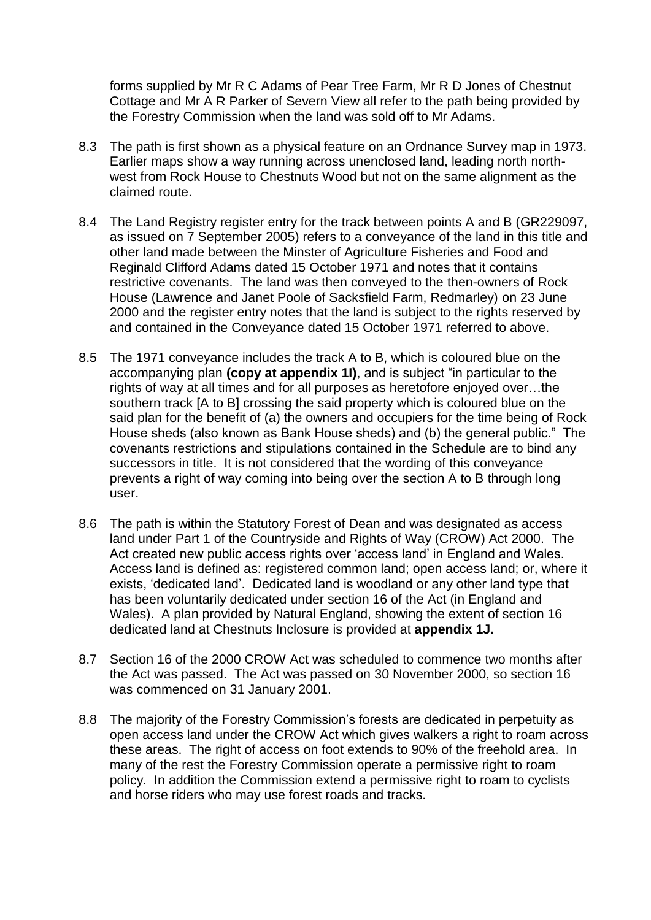forms supplied by Mr R C Adams of Pear Tree Farm, Mr R D Jones of Chestnut Cottage and Mr A R Parker of Severn View all refer to the path being provided by the Forestry Commission when the land was sold off to Mr Adams.

- 8.3 The path is first shown as a physical feature on an Ordnance Survey map in 1973. Earlier maps show a way running across unenclosed land, leading north northwest from Rock House to Chestnuts Wood but not on the same alignment as the claimed route.
- 8.4 The Land Registry register entry for the track between points A and B (GR229097, as issued on 7 September 2005) refers to a conveyance of the land in this title and other land made between the Minster of Agriculture Fisheries and Food and Reginald Clifford Adams dated 15 October 1971 and notes that it contains restrictive covenants. The land was then conveyed to the then-owners of Rock House (Lawrence and Janet Poole of Sacksfield Farm, Redmarley) on 23 June 2000 and the register entry notes that the land is subject to the rights reserved by and contained in the Conveyance dated 15 October 1971 referred to above.
- 8.5 The 1971 conveyance includes the track A to B, which is coloured blue on the accompanying plan **(copy at appendix 1I)**, and is subject "in particular to the rights of way at all times and for all purposes as heretofore enjoyed over…the southern track [A to B] crossing the said property which is coloured blue on the said plan for the benefit of (a) the owners and occupiers for the time being of Rock House sheds (also known as Bank House sheds) and (b) the general public." The covenants restrictions and stipulations contained in the Schedule are to bind any successors in title. It is not considered that the wording of this conveyance prevents a right of way coming into being over the section A to B through long user.
- 8.6 The path is within the Statutory Forest of Dean and was designated as access land under Part 1 of the Countryside and Rights of Way (CROW) Act 2000. The Act created new public access rights over 'access land' in England and Wales. Access land is defined as: registered common land; open access land; or, where it exists, 'dedicated land'. Dedicated land is woodland or any other land type that has been voluntarily dedicated under section 16 of the Act (in England and Wales). A plan provided by Natural England, showing the extent of section 16 dedicated land at Chestnuts Inclosure is provided at **appendix 1J.**
- 8.7 Section 16 of the 2000 CROW Act was scheduled to commence two months after the Act was passed. The Act was passed on 30 November 2000, so section 16 was commenced on 31 January 2001.
- 8.8 The majority of the Forestry Commission's forests are dedicated in perpetuity as open access land under the CROW Act which gives walkers a right to roam across these areas. The right of access on foot extends to 90% of the freehold area. In many of the rest the Forestry Commission operate a permissive right to roam policy. In addition the Commission extend a permissive right to roam to cyclists and horse riders who may use forest roads and tracks.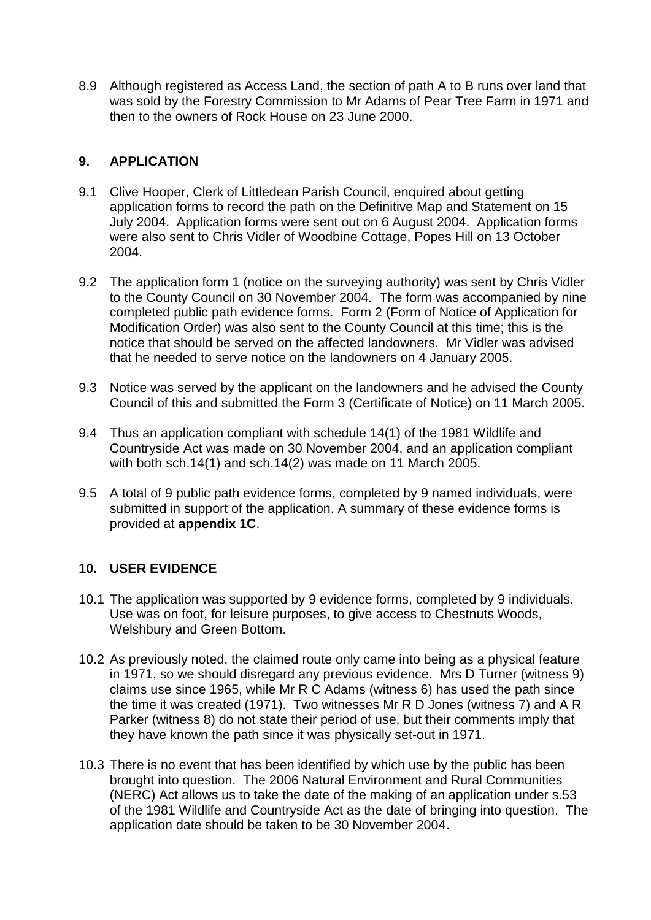8.9 Although registered as Access Land, the section of path A to B runs over land that was sold by the Forestry Commission to Mr Adams of Pear Tree Farm in 1971 and then to the owners of Rock House on 23 June 2000.

# **9. APPLICATION**

- 9.1 Clive Hooper, Clerk of Littledean Parish Council, enquired about getting application forms to record the path on the Definitive Map and Statement on 15 July 2004. Application forms were sent out on 6 August 2004. Application forms were also sent to Chris Vidler of Woodbine Cottage, Popes Hill on 13 October 2004.
- 9.2 The application form 1 (notice on the surveying authority) was sent by Chris Vidler to the County Council on 30 November 2004. The form was accompanied by nine completed public path evidence forms. Form 2 (Form of Notice of Application for Modification Order) was also sent to the County Council at this time; this is the notice that should be served on the affected landowners. Mr Vidler was advised that he needed to serve notice on the landowners on 4 January 2005.
- 9.3 Notice was served by the applicant on the landowners and he advised the County Council of this and submitted the Form 3 (Certificate of Notice) on 11 March 2005.
- 9.4 Thus an application compliant with schedule 14(1) of the 1981 Wildlife and Countryside Act was made on 30 November 2004, and an application compliant with both sch.14(1) and sch.14(2) was made on 11 March 2005.
- 9.5 A total of 9 public path evidence forms, completed by 9 named individuals, were submitted in support of the application. A summary of these evidence forms is provided at **appendix 1C**.

# **10. USER EVIDENCE**

- 10.1 The application was supported by 9 evidence forms, completed by 9 individuals. Use was on foot, for leisure purposes, to give access to Chestnuts Woods, Welshbury and Green Bottom.
- 10.2 As previously noted, the claimed route only came into being as a physical feature in 1971, so we should disregard any previous evidence. Mrs D Turner (witness 9) claims use since 1965, while Mr R C Adams (witness 6) has used the path since the time it was created (1971). Two witnesses Mr R D Jones (witness 7) and A R Parker (witness 8) do not state their period of use, but their comments imply that they have known the path since it was physically set-out in 1971.
- 10.3 There is no event that has been identified by which use by the public has been brought into question. The 2006 Natural Environment and Rural Communities (NERC) Act allows us to take the date of the making of an application under s.53 of the 1981 Wildlife and Countryside Act as the date of bringing into question. The application date should be taken to be 30 November 2004.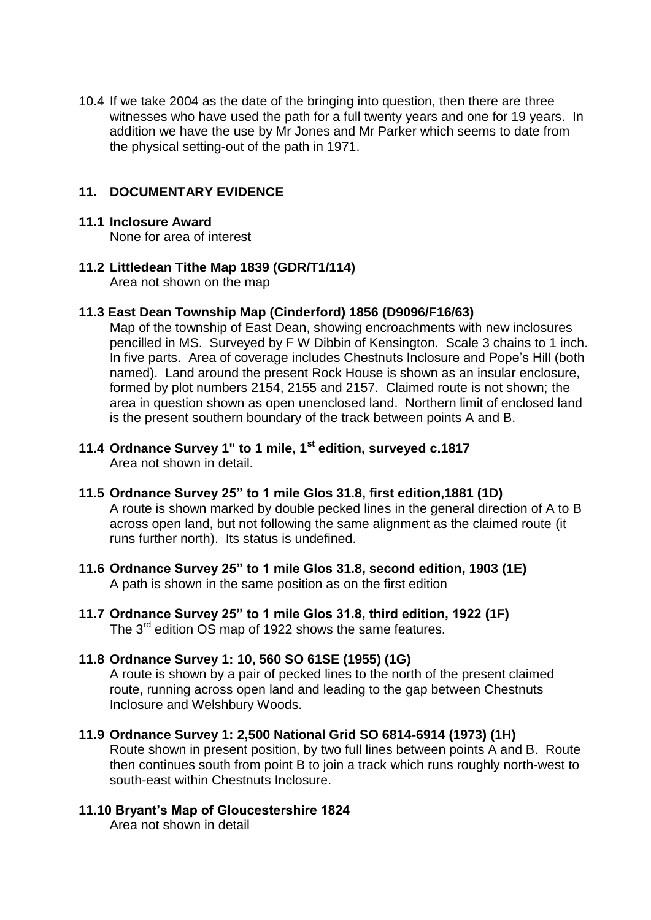10.4 If we take 2004 as the date of the bringing into question, then there are three witnesses who have used the path for a full twenty years and one for 19 years. In addition we have the use by Mr Jones and Mr Parker which seems to date from the physical setting-out of the path in 1971.

## **11. DOCUMENTARY EVIDENCE**

#### **11.1 Inclosure Award**

None for area of interest

## **11.2 Littledean Tithe Map 1839 (GDR/T1/114)**

Area not shown on the map

## **11.3 East Dean Township Map (Cinderford) 1856 (D9096/F16/63)**

Map of the township of East Dean, showing encroachments with new inclosures pencilled in MS. Surveyed by F W Dibbin of Kensington. Scale 3 chains to 1 inch. In five parts. Area of coverage includes Chestnuts Inclosure and Pope's Hill (both named). Land around the present Rock House is shown as an insular enclosure, formed by plot numbers 2154, 2155 and 2157. Claimed route is not shown; the area in question shown as open unenclosed land. Northern limit of enclosed land is the present southern boundary of the track between points A and B.

- **11.4 Ordnance Survey 1" to 1 mile, 1st edition, surveyed c.1817** Area not shown in detail.
- **11.5 Ordnance Survey 25" to 1 mile Glos 31.8, first edition,1881 (1D)** A route is shown marked by double pecked lines in the general direction of A to B across open land, but not following the same alignment as the claimed route (it runs further north). Its status is undefined.
- **11.6 Ordnance Survey 25" to 1 mile Glos 31.8, second edition, 1903 (1E)** A path is shown in the same position as on the first edition
- **11.7 Ordnance Survey 25" to 1 mile Glos 31.8, third edition, 1922 (1F)** The 3<sup>rd</sup> edition OS map of 1922 shows the same features.

# **11.8 Ordnance Survey 1: 10, 560 SO 61SE (1955) (1G)**

A route is shown by a pair of pecked lines to the north of the present claimed route, running across open land and leading to the gap between Chestnuts Inclosure and Welshbury Woods.

# **11.9 Ordnance Survey 1: 2,500 National Grid SO 6814-6914 (1973) (1H)**

Route shown in present position, by two full lines between points A and B. Route then continues south from point B to join a track which runs roughly north-west to south-east within Chestnuts Inclosure.

# **11.10 Bryant's Map of Gloucestershire 1824**

Area not shown in detail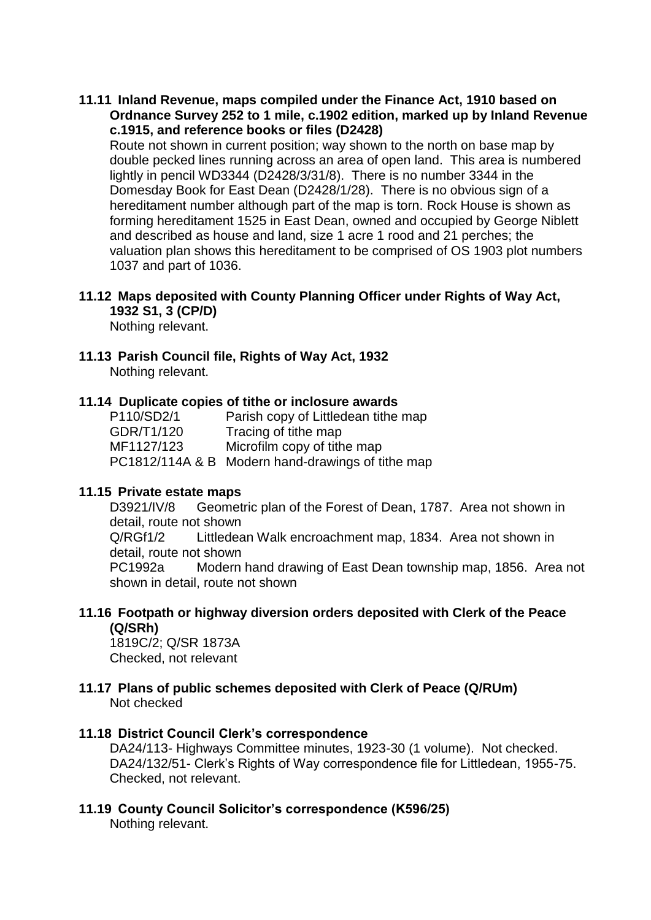#### **11.11 Inland Revenue, maps compiled under the Finance Act, 1910 based on Ordnance Survey 252 to 1 mile, c.1902 edition, marked up by Inland Revenue c.1915, and reference books or files (D2428)**

Route not shown in current position; way shown to the north on base map by double pecked lines running across an area of open land. This area is numbered lightly in pencil WD3344 (D2428/3/31/8). There is no number 3344 in the Domesday Book for East Dean (D2428/1/28). There is no obvious sign of a hereditament number although part of the map is torn. Rock House is shown as forming hereditament 1525 in East Dean, owned and occupied by George Niblett and described as house and land, size 1 acre 1 rood and 21 perches; the valuation plan shows this hereditament to be comprised of OS 1903 plot numbers 1037 and part of 1036.

## **11.12 Maps deposited with County Planning Officer under Rights of Way Act, 1932 S1, 3 (CP/D)**

Nothing relevant.

#### **11.13 Parish Council file, Rights of Way Act, 1932**  Nothing relevant.

#### **11.14 Duplicate copies of tithe or inclosure awards**

| P110/SD2/1 | Parish copy of Littledean tithe map               |
|------------|---------------------------------------------------|
| GDR/T1/120 | Tracing of tithe map                              |
| MF1127/123 | Microfilm copy of tithe map                       |
|            | PC1812/114A & B Modern hand-drawings of tithe map |

#### **11.15 Private estate maps**

D3921/IV/8 Geometric plan of the Forest of Dean, 1787. Area not shown in detail, route not shown Q/RGf1/2 Littledean Walk encroachment map, 1834. Area not shown in detail, route not shown PC1992a Modern hand drawing of East Dean township map, 1856. Area not shown in detail, route not shown

#### **11.16 Footpath or highway diversion orders deposited with Clerk of the Peace (Q/SRh)**

1819C/2; Q/SR 1873A Checked, not relevant

#### **11.17 Plans of public schemes deposited with Clerk of Peace (Q/RUm)**  Not checked

#### **11.18 District Council Clerk's correspondence**

DA24/113- Highways Committee minutes, 1923-30 (1 volume). Not checked. DA24/132/51- Clerk's Rights of Way correspondence file for Littledean, 1955-75. Checked, not relevant.

# **11.19 County Council Solicitor's correspondence (K596/25)**

Nothing relevant.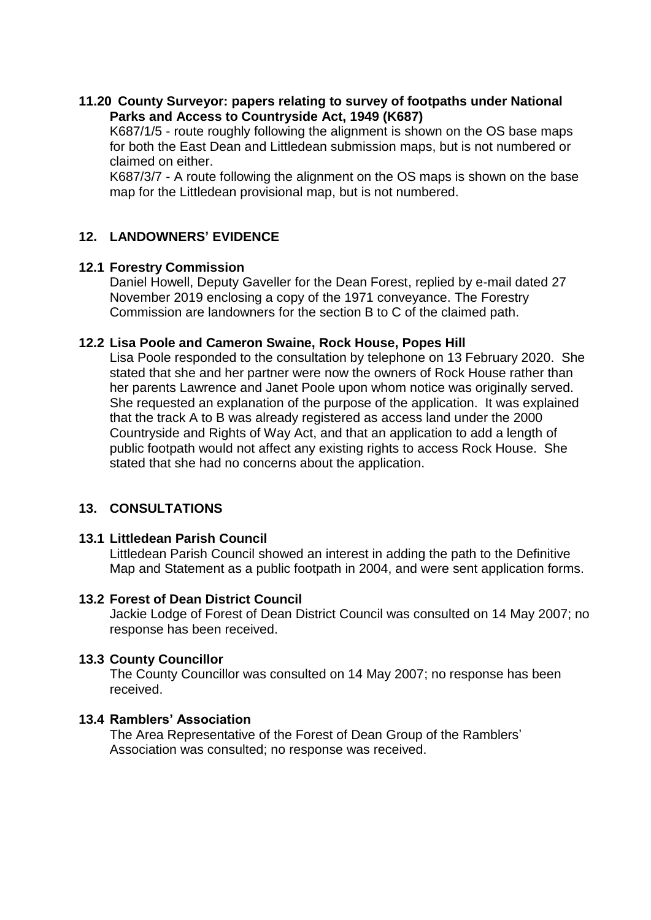## **11.20 County Surveyor: papers relating to survey of footpaths under National Parks and Access to Countryside Act, 1949 (K687)**

K687/1/5 - route roughly following the alignment is shown on the OS base maps for both the East Dean and Littledean submission maps, but is not numbered or claimed on either.

K687/3/7 - A route following the alignment on the OS maps is shown on the base map for the Littledean provisional map, but is not numbered.

# **12. LANDOWNERS' EVIDENCE**

## **12.1 Forestry Commission**

Daniel Howell, Deputy Gaveller for the Dean Forest, replied by e-mail dated 27 November 2019 enclosing a copy of the 1971 conveyance. The Forestry Commission are landowners for the section B to C of the claimed path.

## **12.2 Lisa Poole and Cameron Swaine, Rock House, Popes Hill**

Lisa Poole responded to the consultation by telephone on 13 February 2020. She stated that she and her partner were now the owners of Rock House rather than her parents Lawrence and Janet Poole upon whom notice was originally served. She requested an explanation of the purpose of the application. It was explained that the track A to B was already registered as access land under the 2000 Countryside and Rights of Way Act, and that an application to add a length of public footpath would not affect any existing rights to access Rock House. She stated that she had no concerns about the application.

# **13. CONSULTATIONS**

## **13.1 Littledean Parish Council**

Littledean Parish Council showed an interest in adding the path to the Definitive Map and Statement as a public footpath in 2004, and were sent application forms.

## **13.2 Forest of Dean District Council**

Jackie Lodge of Forest of Dean District Council was consulted on 14 May 2007; no response has been received.

# **13.3 County Councillor**

The County Councillor was consulted on 14 May 2007; no response has been received.

# **13.4 Ramblers' Association**

The Area Representative of the Forest of Dean Group of the Ramblers' Association was consulted; no response was received.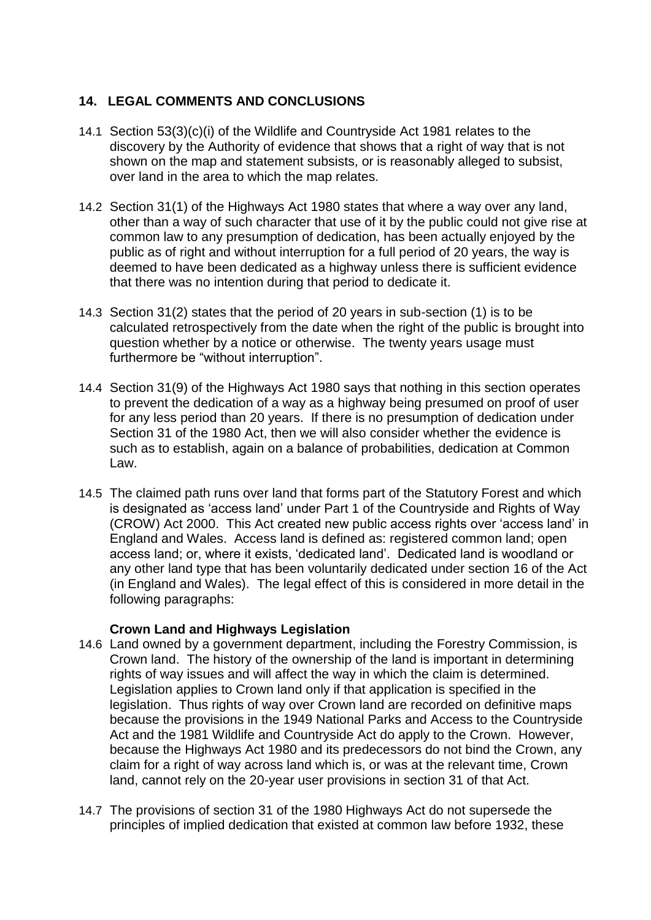# **14. LEGAL COMMENTS AND CONCLUSIONS**

- 14.1 Section 53(3)(c)(i) of the Wildlife and Countryside Act 1981 relates to the discovery by the Authority of evidence that shows that a right of way that is not shown on the map and statement subsists, or is reasonably alleged to subsist, over land in the area to which the map relates.
- 14.2 Section 31(1) of the Highways Act 1980 states that where a way over any land, other than a way of such character that use of it by the public could not give rise at common law to any presumption of dedication, has been actually enjoyed by the public as of right and without interruption for a full period of 20 years, the way is deemed to have been dedicated as a highway unless there is sufficient evidence that there was no intention during that period to dedicate it.
- 14.3 Section 31(2) states that the period of 20 years in sub-section (1) is to be calculated retrospectively from the date when the right of the public is brought into question whether by a notice or otherwise. The twenty years usage must furthermore be "without interruption".
- 14.4 Section 31(9) of the Highways Act 1980 says that nothing in this section operates to prevent the dedication of a way as a highway being presumed on proof of user for any less period than 20 years. If there is no presumption of dedication under Section 31 of the 1980 Act, then we will also consider whether the evidence is such as to establish, again on a balance of probabilities, dedication at Common Law.
- 14.5 The claimed path runs over land that forms part of the Statutory Forest and which is designated as 'access land' under Part 1 of the Countryside and Rights of Way (CROW) Act 2000. This Act created new public access rights over 'access land' in England and Wales. Access land is defined as: registered common land; open access land; or, where it exists, 'dedicated land'. Dedicated land is woodland or any other land type that has been voluntarily dedicated under section 16 of the Act (in England and Wales). The legal effect of this is considered in more detail in the following paragraphs:

## **Crown Land and Highways Legislation**

- 14.6 Land owned by a government department, including the Forestry Commission, is Crown land. The history of the ownership of the land is important in determining rights of way issues and will affect the way in which the claim is determined. Legislation applies to Crown land only if that application is specified in the legislation. Thus rights of way over Crown land are recorded on definitive maps because the provisions in the 1949 National Parks and Access to the Countryside Act and the 1981 Wildlife and Countryside Act do apply to the Crown. However, because the Highways Act 1980 and its predecessors do not bind the Crown, any claim for a right of way across land which is, or was at the relevant time, Crown land, cannot rely on the 20-year user provisions in section 31 of that Act.
- 14.7 The provisions of section 31 of the 1980 Highways Act do not supersede the principles of implied dedication that existed at common law before 1932, these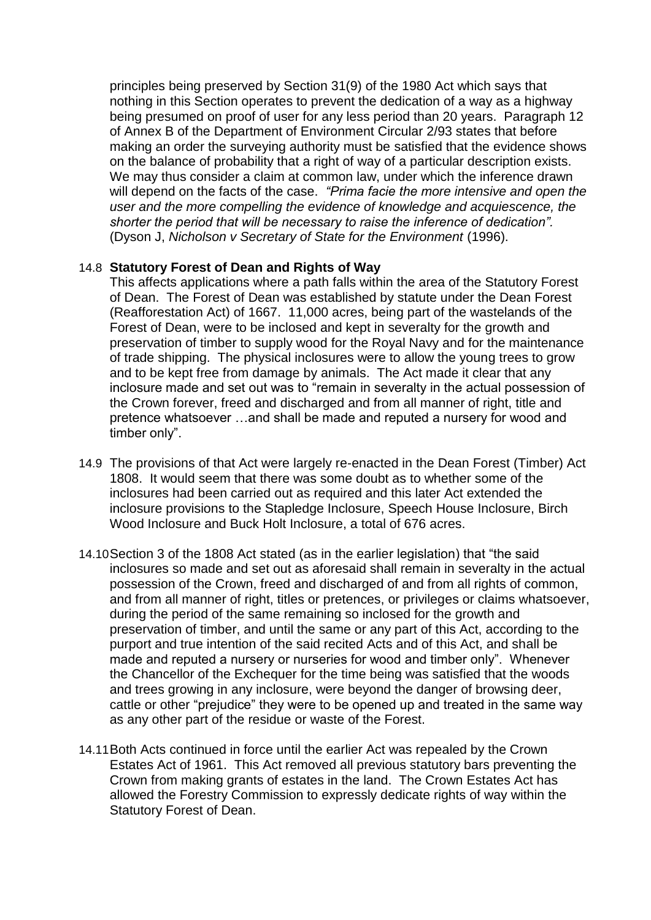principles being preserved by Section 31(9) of the 1980 Act which says that nothing in this Section operates to prevent the dedication of a way as a highway being presumed on proof of user for any less period than 20 years. Paragraph 12 of Annex B of the Department of Environment Circular 2/93 states that before making an order the surveying authority must be satisfied that the evidence shows on the balance of probability that a right of way of a particular description exists. We may thus consider a claim at common law, under which the inference drawn will depend on the facts of the case. *"Prima facie the more intensive and open the user and the more compelling the evidence of knowledge and acquiescence, the shorter the period that will be necessary to raise the inference of dedication".* (Dyson J, *Nicholson v Secretary of State for the Environment* (1996).

#### 14.8 **Statutory Forest of Dean and Rights of Way**

This affects applications where a path falls within the area of the Statutory Forest of Dean. The Forest of Dean was established by statute under the Dean Forest (Reafforestation Act) of 1667. 11,000 acres, being part of the wastelands of the Forest of Dean, were to be inclosed and kept in severalty for the growth and preservation of timber to supply wood for the Royal Navy and for the maintenance of trade shipping. The physical inclosures were to allow the young trees to grow and to be kept free from damage by animals. The Act made it clear that any inclosure made and set out was to "remain in severalty in the actual possession of the Crown forever, freed and discharged and from all manner of right, title and pretence whatsoever …and shall be made and reputed a nursery for wood and timber only".

- 14.9 The provisions of that Act were largely re-enacted in the Dean Forest (Timber) Act 1808. It would seem that there was some doubt as to whether some of the inclosures had been carried out as required and this later Act extended the inclosure provisions to the Stapledge Inclosure, Speech House Inclosure, Birch Wood Inclosure and Buck Holt Inclosure, a total of 676 acres.
- 14.10Section 3 of the 1808 Act stated (as in the earlier legislation) that "the said inclosures so made and set out as aforesaid shall remain in severalty in the actual possession of the Crown, freed and discharged of and from all rights of common, and from all manner of right, titles or pretences, or privileges or claims whatsoever, during the period of the same remaining so inclosed for the growth and preservation of timber, and until the same or any part of this Act, according to the purport and true intention of the said recited Acts and of this Act, and shall be made and reputed a nursery or nurseries for wood and timber only". Whenever the Chancellor of the Exchequer for the time being was satisfied that the woods and trees growing in any inclosure, were beyond the danger of browsing deer, cattle or other "prejudice" they were to be opened up and treated in the same way as any other part of the residue or waste of the Forest.
- 14.11Both Acts continued in force until the earlier Act was repealed by the Crown Estates Act of 1961. This Act removed all previous statutory bars preventing the Crown from making grants of estates in the land. The Crown Estates Act has allowed the Forestry Commission to expressly dedicate rights of way within the Statutory Forest of Dean.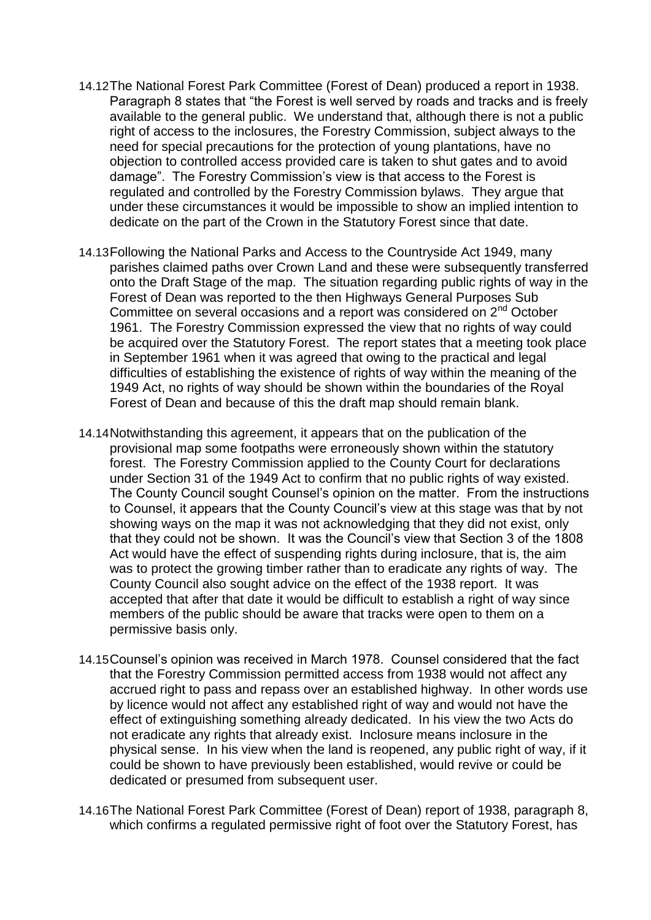- 14.12The National Forest Park Committee (Forest of Dean) produced a report in 1938. Paragraph 8 states that "the Forest is well served by roads and tracks and is freely available to the general public. We understand that, although there is not a public right of access to the inclosures, the Forestry Commission, subject always to the need for special precautions for the protection of young plantations, have no objection to controlled access provided care is taken to shut gates and to avoid damage". The Forestry Commission's view is that access to the Forest is regulated and controlled by the Forestry Commission bylaws. They argue that under these circumstances it would be impossible to show an implied intention to dedicate on the part of the Crown in the Statutory Forest since that date.
- 14.13Following the National Parks and Access to the Countryside Act 1949, many parishes claimed paths over Crown Land and these were subsequently transferred onto the Draft Stage of the map. The situation regarding public rights of way in the Forest of Dean was reported to the then Highways General Purposes Sub Committee on several occasions and a report was considered on 2<sup>nd</sup> October 1961. The Forestry Commission expressed the view that no rights of way could be acquired over the Statutory Forest. The report states that a meeting took place in September 1961 when it was agreed that owing to the practical and legal difficulties of establishing the existence of rights of way within the meaning of the 1949 Act, no rights of way should be shown within the boundaries of the Royal Forest of Dean and because of this the draft map should remain blank.
- 14.14Notwithstanding this agreement, it appears that on the publication of the provisional map some footpaths were erroneously shown within the statutory forest. The Forestry Commission applied to the County Court for declarations under Section 31 of the 1949 Act to confirm that no public rights of way existed. The County Council sought Counsel's opinion on the matter. From the instructions to Counsel, it appears that the County Council's view at this stage was that by not showing ways on the map it was not acknowledging that they did not exist, only that they could not be shown. It was the Council's view that Section 3 of the 1808 Act would have the effect of suspending rights during inclosure, that is, the aim was to protect the growing timber rather than to eradicate any rights of way. The County Council also sought advice on the effect of the 1938 report. It was accepted that after that date it would be difficult to establish a right of way since members of the public should be aware that tracks were open to them on a permissive basis only.
- 14.15Counsel's opinion was received in March 1978. Counsel considered that the fact that the Forestry Commission permitted access from 1938 would not affect any accrued right to pass and repass over an established highway. In other words use by licence would not affect any established right of way and would not have the effect of extinguishing something already dedicated. In his view the two Acts do not eradicate any rights that already exist. Inclosure means inclosure in the physical sense. In his view when the land is reopened, any public right of way, if it could be shown to have previously been established, would revive or could be dedicated or presumed from subsequent user.
- 14.16The National Forest Park Committee (Forest of Dean) report of 1938, paragraph 8, which confirms a regulated permissive right of foot over the Statutory Forest, has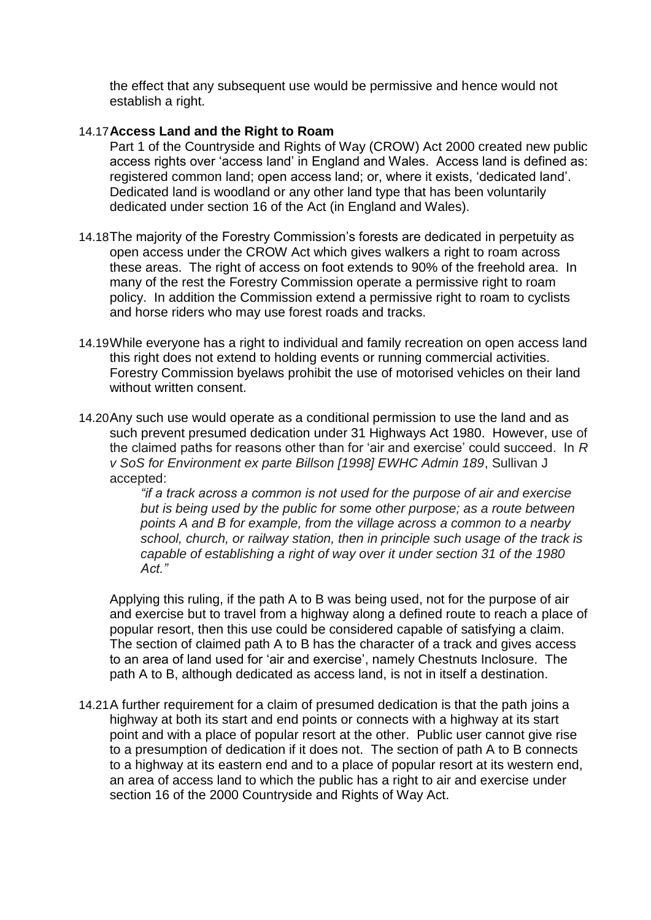the effect that any subsequent use would be permissive and hence would not establish a right.

#### 14.17**Access Land and the Right to Roam**

- Part 1 of the Countryside and Rights of Way (CROW) Act 2000 created new public access rights over 'access land' in England and Wales. Access land is defined as: registered common land; open access land; or, where it exists, 'dedicated land'. Dedicated land is woodland or any other land type that has been voluntarily dedicated under section 16 of the Act (in England and Wales).
- 14.18The majority of the Forestry Commission's forests are dedicated in perpetuity as open access under the CROW Act which gives walkers a right to roam across these areas. The right of access on foot extends to 90% of the freehold area. In many of the rest the Forestry Commission operate a permissive right to roam policy. In addition the Commission extend a permissive right to roam to cyclists and horse riders who may use forest roads and tracks.
- 14.19While everyone has a right to individual and family recreation on open access land this right does not extend to holding events or running commercial activities. Forestry Commission byelaws prohibit the use of motorised vehicles on their land without written consent.
- 14.20Any such use would operate as a conditional permission to use the land and as such prevent presumed dedication under 31 Highways Act 1980. However, use of the claimed paths for reasons other than for 'air and exercise' could succeed. In *R v SoS for Environment ex parte Billson [1998] EWHC Admin 189*, Sullivan J accepted:

*"if a track across a common is not used for the purpose of air and exercise but is being used by the public for some other purpose; as a route between points A and B for example, from the village across a common to a nearby school, church, or railway station, then in principle such usage of the track is capable of establishing a right of way over it under section 31 of the 1980 Act."*

Applying this ruling, if the path A to B was being used, not for the purpose of air and exercise but to travel from a highway along a defined route to reach a place of popular resort, then this use could be considered capable of satisfying a claim. The section of claimed path A to B has the character of a track and gives access to an area of land used for 'air and exercise', namely Chestnuts Inclosure. The path A to B, although dedicated as access land, is not in itself a destination.

14.21A further requirement for a claim of presumed dedication is that the path joins a highway at both its start and end points or connects with a highway at its start point and with a place of popular resort at the other. Public user cannot give rise to a presumption of dedication if it does not. The section of path A to B connects to a highway at its eastern end and to a place of popular resort at its western end, an area of access land to which the public has a right to air and exercise under section 16 of the 2000 Countryside and Rights of Way Act.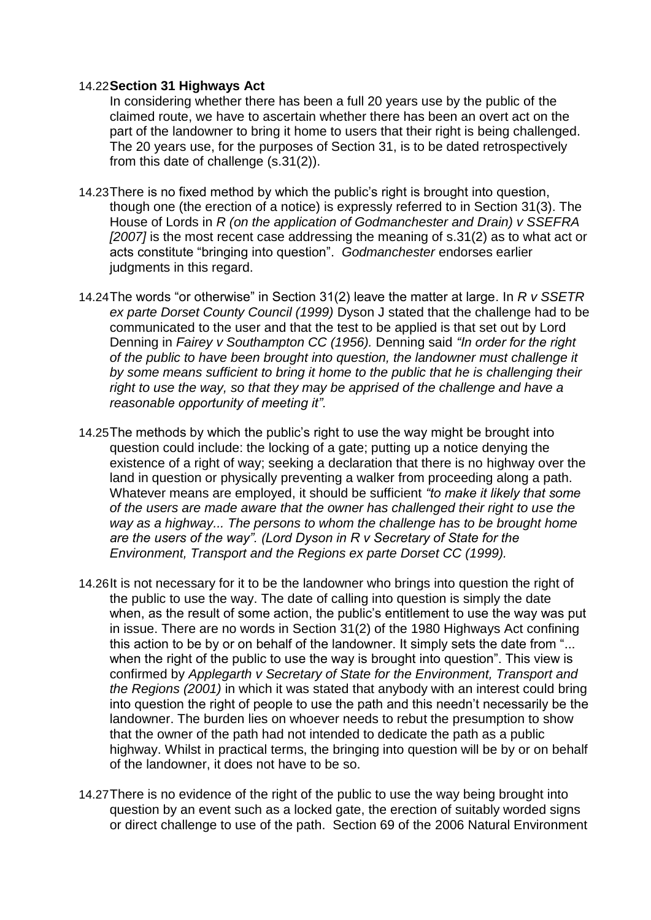#### 14.22**Section 31 Highways Act**

In considering whether there has been a full 20 years use by the public of the claimed route, we have to ascertain whether there has been an overt act on the part of the landowner to bring it home to users that their right is being challenged. The 20 years use, for the purposes of Section 31, is to be dated retrospectively from this date of challenge (s.31(2)).

- 14.23There is no fixed method by which the public's right is brought into question, though one (the erection of a notice) is expressly referred to in Section 31(3). The House of Lords in *R (on the application of Godmanchester and Drain) v SSEFRA [2007]* is the most recent case addressing the meaning of s.31(2) as to what act or acts constitute "bringing into question". *Godmanchester* endorses earlier judgments in this regard.
- 14.24The words "or otherwise" in Section 31(2) leave the matter at large. In *R v SSETR ex parte Dorset County Council (1999)* Dyson J stated that the challenge had to be communicated to the user and that the test to be applied is that set out by Lord Denning in *Fairey v Southampton CC (1956).* Denning said *"In order for the right of the public to have been brought into question, the landowner must challenge it by some means sufficient to bring it home to the public that he is challenging their*  right to use the way, so that they may be apprised of the challenge and have a *reasonable opportunity of meeting it".*
- 14.25The methods by which the public's right to use the way might be brought into question could include: the locking of a gate; putting up a notice denying the existence of a right of way; seeking a declaration that there is no highway over the land in question or physically preventing a walker from proceeding along a path. Whatever means are employed, it should be sufficient *"to make it likely that some of the users are made aware that the owner has challenged their right to use the way as a highway... The persons to whom the challenge has to be brought home are the users of the way". (Lord Dyson in R v Secretary of State for the Environment, Transport and the Regions ex parte Dorset CC (1999).*
- 14.26It is not necessary for it to be the landowner who brings into question the right of the public to use the way. The date of calling into question is simply the date when, as the result of some action, the public's entitlement to use the way was put in issue. There are no words in Section 31(2) of the 1980 Highways Act confining this action to be by or on behalf of the landowner. It simply sets the date from "... when the right of the public to use the way is brought into question". This view is confirmed by *Applegarth v Secretary of State for the Environment, Transport and the Regions (2001)* in which it was stated that anybody with an interest could bring into question the right of people to use the path and this needn't necessarily be the landowner. The burden lies on whoever needs to rebut the presumption to show that the owner of the path had not intended to dedicate the path as a public highway. Whilst in practical terms, the bringing into question will be by or on behalf of the landowner, it does not have to be so.
- 14.27There is no evidence of the right of the public to use the way being brought into question by an event such as a locked gate, the erection of suitably worded signs or direct challenge to use of the path. Section 69 of the 2006 Natural Environment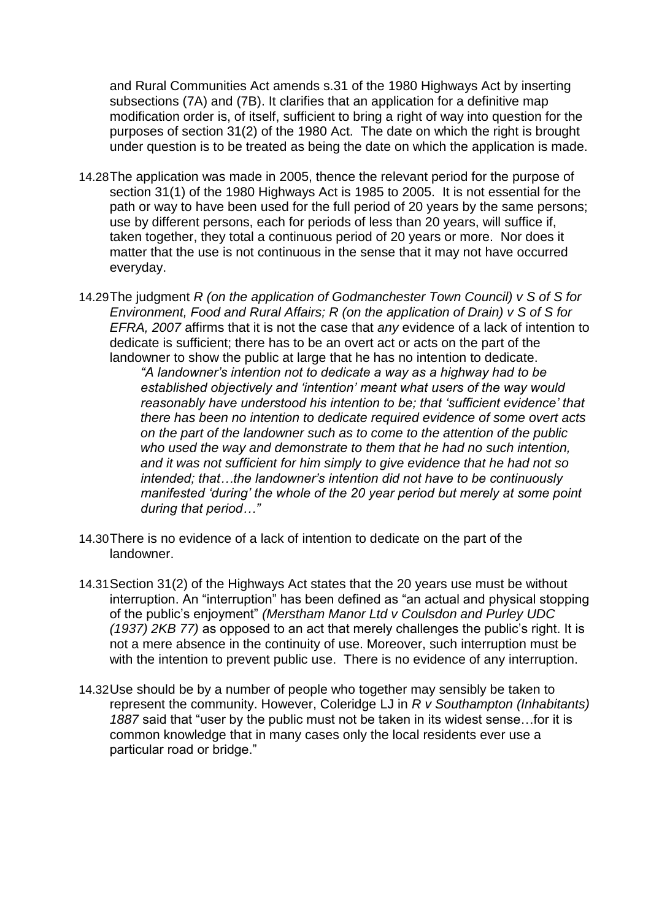and Rural Communities Act amends s.31 of the 1980 Highways Act by inserting subsections (7A) and (7B). It clarifies that an application for a definitive map modification order is, of itself, sufficient to bring a right of way into question for the purposes of section 31(2) of the 1980 Act. The date on which the right is brought under question is to be treated as being the date on which the application is made.

- 14.28The application was made in 2005, thence the relevant period for the purpose of section 31(1) of the 1980 Highways Act is 1985 to 2005. It is not essential for the path or way to have been used for the full period of 20 years by the same persons; use by different persons, each for periods of less than 20 years, will suffice if, taken together, they total a continuous period of 20 years or more. Nor does it matter that the use is not continuous in the sense that it may not have occurred everyday.
- 14.29The judgment *R (on the application of Godmanchester Town Council) v S of S for Environment, Food and Rural Affairs; R (on the application of Drain) v S of S for EFRA, 2007* affirms that it is not the case that *any* evidence of a lack of intention to dedicate is sufficient; there has to be an overt act or acts on the part of the landowner to show the public at large that he has no intention to dedicate.

*"A landowner's intention not to dedicate a way as a highway had to be established objectively and 'intention' meant what users of the way would reasonably have understood his intention to be; that 'sufficient evidence' that there has been no intention to dedicate required evidence of some overt acts on the part of the landowner such as to come to the attention of the public who used the way and demonstrate to them that he had no such intention, and it was not sufficient for him simply to give evidence that he had not so intended; that…the landowner's intention did not have to be continuously manifested 'during' the whole of the 20 year period but merely at some point during that period…"*

- 14.30There is no evidence of a lack of intention to dedicate on the part of the landowner.
- 14.31Section 31(2) of the Highways Act states that the 20 years use must be without interruption. An "interruption" has been defined as "an actual and physical stopping of the public's enjoyment" *(Merstham Manor Ltd v Coulsdon and Purley UDC (1937) 2KB 77)* as opposed to an act that merely challenges the public's right. It is not a mere absence in the continuity of use. Moreover, such interruption must be with the intention to prevent public use. There is no evidence of any interruption.
- 14.32Use should be by a number of people who together may sensibly be taken to represent the community. However, Coleridge LJ in *R v Southampton (Inhabitants) 1887* said that "user by the public must not be taken in its widest sense…for it is common knowledge that in many cases only the local residents ever use a particular road or bridge."